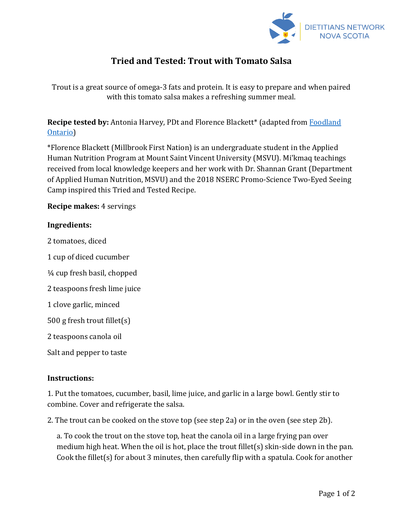

## **Tried and Tested: Trout with Tomato Salsa**

Trout is a great source of omega-3 fats and protein. It is easy to prepare and when paired with this tomato salsa makes a refreshing summer meal.

**Recipe tested by:** Antonia Harvey, PDt and Florence Blackett<sup>\*</sup> (adapted from Foodland [Ontario\)](https://www.ontario.ca/foodland/recipes/grilled-trout-tomato-salsa)

\*Florence Blackett (Millbrook First Nation) is an undergraduate student in the Applied Human Nutrition Program at Mount Saint Vincent University (MSVU). Mi'kmaq teachings received from local knowledge keepers and her work with Dr. Shannan Grant (Department of Applied Human Nutrition, MSVU) and the 2018 NSERC Promo-Science Two-Eyed Seeing Camp inspired this Tried and Tested Recipe.

**Recipe makes:** 4 servings

## **Ingredients:**

2 tomatoes, diced 1 cup of diced cucumber ¼ cup fresh basil, chopped 2 teaspoons fresh lime juice 1 clove garlic, minced 500 g fresh trout fillet(s) 2 teaspoons canola oil Salt and pepper to taste

## **Instructions:**

1. Put the tomatoes, cucumber, basil, lime juice, and garlic in a large bowl. Gently stir to combine. Cover and refrigerate the salsa.

2. The trout can be cooked on the stove top (see step 2a) or in the oven (see step 2b).

a. To cook the trout on the stove top, heat the canola oil in a large frying pan over medium high heat. When the oil is hot, place the trout fillet(s) skin-side down in the pan. Cook the fillet(s) for about 3 minutes, then carefully flip with a spatula. Cook for another